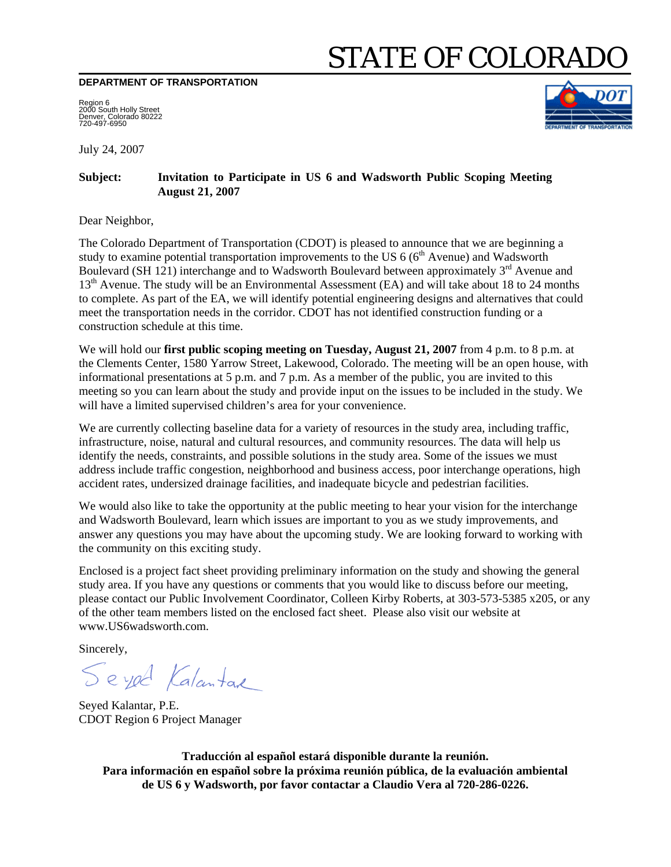# STATE OF COLORADO

**DEPARTMENT OF TRANSPORTATION** 

Region 6 2000 South Holly Street Denver, Colorado 80222 720-497-6950

July 24, 2007

#### **Subject: Invitation to Participate in US 6 and Wadsworth Public Scoping Meeting August 21, 2007**

Dear Neighbor,

The Colorado Department of Transportation (CDOT) is pleased to announce that we are beginning a study to examine potential transportation improvements to the US  $6(6<sup>th</sup>$  Avenue) and Wadsworth Boulevard (SH 121) interchange and to Wadsworth Boulevard between approximately  $3<sup>rd</sup>$  Avenue and 13<sup>th</sup> Avenue. The study will be an Environmental Assessment (EA) and will take about 18 to 24 months to complete. As part of the EA, we will identify potential engineering designs and alternatives that could meet the transportation needs in the corridor. CDOT has not identified construction funding or a construction schedule at this time.

We will hold our **first public scoping meeting on Tuesday, August 21, 2007** from 4 p.m. to 8 p.m. at the Clements Center, 1580 Yarrow Street, Lakewood, Colorado. The meeting will be an open house, with informational presentations at 5 p.m. and 7 p.m. As a member of the public, you are invited to this meeting so you can learn about the study and provide input on the issues to be included in the study. We will have a limited supervised children's area for your convenience.

We are currently collecting baseline data for a variety of resources in the study area, including traffic, infrastructure, noise, natural and cultural resources, and community resources. The data will help us identify the needs, constraints, and possible solutions in the study area. Some of the issues we must address include traffic congestion, neighborhood and business access, poor interchange operations, high accident rates, undersized drainage facilities, and inadequate bicycle and pedestrian facilities.

We would also like to take the opportunity at the public meeting to hear your vision for the interchange and Wadsworth Boulevard, learn which issues are important to you as we study improvements, and answer any questions you may have about the upcoming study. We are looking forward to working with the community on this exciting study.

Enclosed is a project fact sheet providing preliminary information on the study and showing the general study area. If you have any questions or comments that you would like to discuss before our meeting, please contact our Public Involvement Coordinator, Colleen Kirby Roberts, at 303-573-5385 x205, or any of the other team members listed on the enclosed fact sheet. Please also visit our website at www.US6wadsworth.com.

Sincerely,

Seyed Kalantar

Seyed Kalantar, P.E. CDOT Region 6 Project Manager

**Traducción al español estará disponible durante la reunión. Para información en español sobre la próxima reunión pública, de la evaluación ambiental de US 6 y Wadsworth, por favor contactar a Claudio Vera al 720-286-0226.**